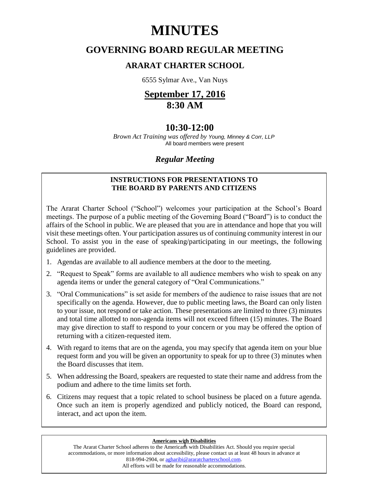# **MINUTES**

# **GOVERNING BOARD REGULAR MEETING**

# **ARARAT CHARTER SCHOOL**

6555 Sylmar Ave., Van Nuys

## **September 17, 2016 8:30 AM**

# **10:30-12:00**

 *Brown Act Training was offered by Young, Minney & Corr, LLP* All board members were present

# *Regular Meeting*

### **INSTRUCTIONS FOR PRESENTATIONS TO THE BOARD BY PARENTS AND CITIZENS**

The Ararat Charter School ("School") welcomes your participation at the School's Board meetings. The purpose of a public meeting of the Governing Board ("Board") is to conduct the affairs of the School in public. We are pleased that you are in attendance and hope that you will visit these meetings often. Your participation assures us of continuing community interest in our School. To assist you in the ease of speaking/participating in our meetings, the following guidelines are provided.

- 1. Agendas are available to all audience members at the door to the meeting.
- 2. "Request to Speak" forms are available to all audience members who wish to speak on any agenda items or under the general category of "Oral Communications."
- 3. "Oral Communications" is set aside for members of the audience to raise issues that are not specifically on the agenda. However, due to public meeting laws, the Board can only listen to your issue, not respond or take action. These presentations are limited to three (3) minutes and total time allotted to non-agenda items will not exceed fifteen (15) minutes. The Board may give direction to staff to respond to your concern or you may be offered the option of returning with a citizen-requested item.
- 4. With regard to items that are on the agenda, you may specify that agenda item on your blue request form and you will be given an opportunity to speak for up to three (3) minutes when the Board discusses that item.
- 5. When addressing the Board, speakers are requested to state their name and address from the podium and adhere to the time limits set forth.
- 6. Citizens may request that a topic related to school business be placed on a future agenda. Once such an item is properly agendized and publicly noticed, the Board can respond, interact, and act upon the item.

#### **Americans with Disabilities**

The Ararat Charter School adheres to the Americans with Disabilities Act. Should you require special accommodations, or more information about accessibility, please contact us at least 48 hours in advance at 818-994-2904, or [agharibi@araratcharterschool.com.](mailto:agharibi@araratcharterschool.com)  All efforts will be made for reasonable accommodations.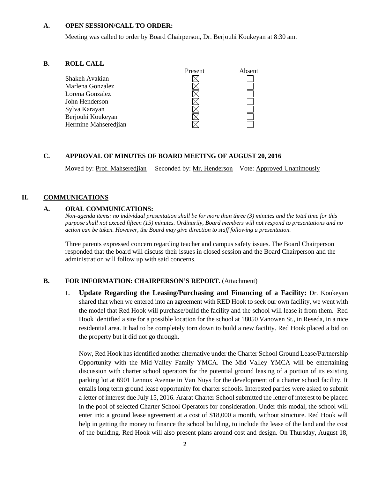#### **A. OPEN SESSION/CALL TO ORDER:**

Meeting was called to order by Board Chairperson, Dr. Berjouhi Koukeyan at 8:30 am.

#### **B. ROLL CALL**



#### **C. APPROVAL OF MINUTES OF BOARD MEETING OF AUGUST 20, 2016**

Moved by: Prof. Mahseredjian Seconded by: Mr. Henderson Vote: Approved Unanimously

#### **II. COMMUNICATIONS**

#### **A. ORAL COMMUNICATIONS:**

*Non-agenda items: no individual presentation shall be for more than three (3) minutes and the total time for this purpose shall not exceed fifteen (15) minutes. Ordinarily, Board members will not respond to presentations and no action can be taken. However, the Board may give direction to staff following a presentation.*

Three parents expressed concern regarding teacher and campus safety issues. The Board Chairperson responded that the board will discuss their issues in closed session and the Board Chairperson and the administration will follow up with said concerns.

#### **B. FOR INFORMATION: CHAIRPERSON'S REPORT**. (Attachment)

**1. Update Regarding the Leasing/Purchasing and Financing of a Facility:** Dr. Koukeyan shared that when we entered into an agreement with RED Hook to seek our own facility, we went with the model that Red Hook will purchase/build the facility and the school will lease it from them. Red Hook identified a site for a possible location for the school at 18050 Vanowen St., in Reseda, in a nice residential area. It had to be completely torn down to build a new facility. Red Hook placed a bid on the property but it did not go through.

Now, Red Hook has identified another alternative under the Charter School Ground Lease/Partnership Opportunity with the Mid-Valley Family YMCA. The Mid Valley YMCA will be entertaining discussion with charter school operators for the potential ground leasing of a portion of its existing parking lot at 6901 Lennox Avenue in Van Nuys for the development of a charter school facility. It entails long term ground lease opportunity for charter schools. Interested parties were asked to submit a letter of interest due July 15, 2016. Ararat Charter School submitted the letter of interest to be placed in the pool of selected Charter School Operators for consideration. Under this modal, the school will enter into a ground lease agreement at a cost of \$18,000 a month, without structure. Red Hook will help in getting the money to finance the school building, to include the lease of the land and the cost of the building. Red Hook will also present plans around cost and design. On Thursday, August 18,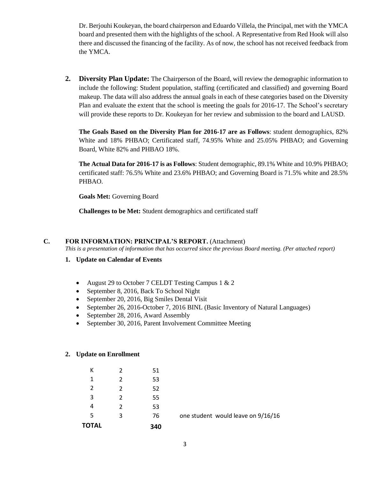Dr. Berjouhi Koukeyan, the board chairperson and Eduardo Villela, the Principal, met with the YMCA board and presented them with the highlights of the school. A Representative from Red Hook will also there and discussed the financing of the facility. As of now, the school has not received feedback from the YMCA.

**2. Diversity Plan Update:** The Chairperson of the Board, will review the demographic information to include the following: Student population, staffing (certificated and classified) and governing Board makeup. The data will also address the annual goals in each of these categories based on the Diversity Plan and evaluate the extent that the school is meeting the goals for 2016-17. The School's secretary will provide these reports to Dr. Koukeyan for her review and submission to the board and LAUSD.

**The Goals Based on the Diversity Plan for 2016-17 are as Follows**: student demographics, 82% White and 18% PHBAO; Certificated staff, 74.95% White and 25.05% PHBAO; and Governing Board, White 82% and PHBAO 18%.

**The Actual Data for 2016-17 is as Follows**: Student demographic, 89.1% White and 10.9% PHBAO; certificated staff: 76.5% White and 23.6% PHBAO; and Governing Board is 71.5% white and 28.5% PHBAO.

**Goals Met:** Governing Board

**Challenges to be Met:** Student demographics and certificated staff

#### **C. FOR INFORMATION: PRINCIPAL'S REPORT.** (Attachment)

*This is a presentation of information that has occurred since the previous Board meeting. (Per attached report)*

- **1. Update on Calendar of Events**
	- August 29 to October 7 CELDT Testing Campus 1 & 2
	- September 8, 2016, Back To School Night
	- September 20, 2016, Big Smiles Dental Visit
	- September 26, 2016-October 7, 2016 BINL (Basic Inventory of Natural Languages)
	- September 28, 2016, Award Assembly
	- September 30, 2016, Parent Involvement Committee Meeting

#### **2. Update on Enrollment**

| К            | Ο. | 51  |                                    |
|--------------|----|-----|------------------------------------|
| 1            | 2  | 53  |                                    |
| 2            | 2  | 52  |                                    |
| 3            |    | 55  |                                    |
| 4            |    | 53  |                                    |
| 5            | 3  | 76  | one student would leave on 9/16/16 |
| <b>TOTAL</b> |    | 340 |                                    |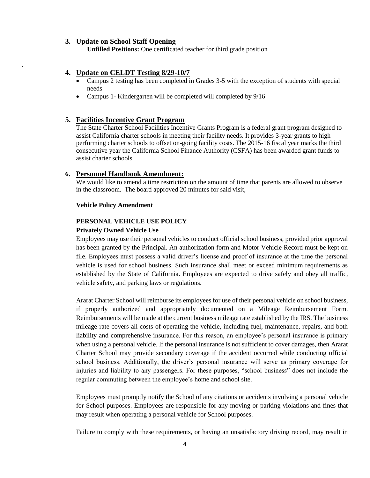#### **3. Update on School Staff Opening**

.

 **Unfilled Positions:** One certificated teacher for third grade position

#### **4. Update on CELDT Testing 8/29-10/7**

- Campus 2 testing has been completed in Grades 3-5 with the exception of students with special needs
- Campus 1- Kindergarten will be completed will completed by 9/16

#### **5. Facilities Incentive Grant Program**

The State Charter School Facilities Incentive Grants Program is a federal grant program designed to assist California charter schools in meeting their facility needs. It provides 3-year grants to high performing charter schools to offset on-going facility costs. The 2015-16 fiscal year marks the third consecutive year the California School Finance Authority (CSFA) has been awarded grant funds to assist charter schools.

#### **6. Personnel Handbook Amendment:**

We would like to amend a time restriction on the amount of time that parents are allowed to observe in the classroom. The board approved 20 minutes for said visit,

#### **Vehicle Policy Amendment**

#### **PERSONAL VEHICLE USE POLICY**

#### **Privately Owned Vehicle Use**

Employees may use their personal vehicles to conduct official school business, provided prior approval has been granted by the Principal. An authorization form and Motor Vehicle Record must be kept on file. Employees must possess a valid driver's license and proof of insurance at the time the personal vehicle is used for school business. Such insurance shall meet or exceed minimum requirements as established by the State of California. Employees are expected to drive safely and obey all traffic, vehicle safety, and parking laws or regulations.

Ararat Charter School will reimburse its employees for use of their personal vehicle on school business, if properly authorized and appropriately documented on a Mileage Reimbursement Form. Reimbursements will be made at the current business mileage rate established by the IRS. The business mileage rate covers all costs of operating the vehicle, including fuel, maintenance, repairs, and both liability and comprehensive insurance. For this reason, an employee's personal insurance is primary when using a personal vehicle. If the personal insurance is not sufficient to cover damages, then Ararat Charter School may provide secondary coverage if the accident occurred while conducting official school business. Additionally, the driver's personal insurance will serve as primary coverage for injuries and liability to any passengers. For these purposes, "school business" does not include the regular commuting between the employee's home and school site.

Employees must promptly notify the School of any citations or accidents involving a personal vehicle for School purposes. Employees are responsible for any moving or parking violations and fines that may result when operating a personal vehicle for School purposes.

Failure to comply with these requirements, or having an unsatisfactory driving record, may result in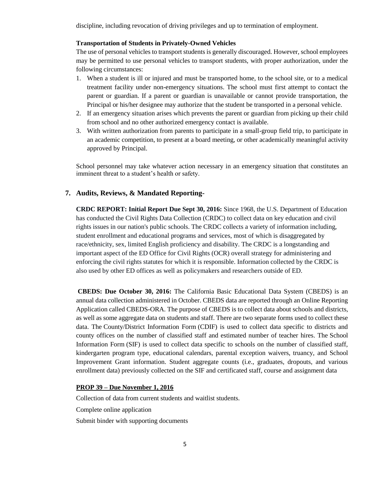discipline, including revocation of driving privileges and up to termination of employment.

#### **Transportation of Students in Privately-Owned Vehicles**

The use of personal vehicles to transport students is generally discouraged. However, school employees may be permitted to use personal vehicles to transport students, with proper authorization, under the following circumstances:

- 1. When a student is ill or injured and must be transported home, to the school site, or to a medical treatment facility under non-emergency situations. The school must first attempt to contact the parent or guardian. If a parent or guardian is unavailable or cannot provide transportation, the Principal or his/her designee may authorize that the student be transported in a personal vehicle.
- 2. If an emergency situation arises which prevents the parent or guardian from picking up their child from school and no other authorized emergency contact is available.
- 3. With written authorization from parents to participate in a small-group field trip, to participate in an academic competition, to present at a board meeting, or other academically meaningful activity approved by Principal.

School personnel may take whatever action necessary in an emergency situation that constitutes an imminent threat to a student's health or safety.

#### **7. Audits, Reviews, & Mandated Reporting-**

**CRDC REPORT: Initial Report Due Sept 30, 2016:** Since 1968, the U.S. Department of Education has conducted the Civil Rights Data Collection (CRDC) to collect data on key education and civil rights issues in our nation's public schools. The CRDC collects a variety of information including, student enrollment and educational programs and services, most of which is disaggregated by race/ethnicity, sex, limited English proficiency and disability. The CRDC is a longstanding and important aspect of the ED Office for Civil Rights (OCR) overall strategy for administering and enforcing the civil rights statutes for which it is responsible. Information collected by the CRDC is also used by other ED offices as well as policymakers and researchers outside of ED.

**CBEDS: Due October 30, 2016:** The California Basic Educational Data System (CBEDS) is an annual data collection administered in October. CBEDS data are reported through an Online Reporting Application called CBEDS-ORA. The purpose of CBEDS is to collect data about schools and districts, as well as some aggregate data on students and staff. There are two separate forms used to collect these data. The County/District Information Form (CDIF) is used to collect data specific to districts and county offices on the number of classified staff and estimated number of teacher hires. The School Information Form (SIF) is used to collect data specific to schools on the number of classified staff, kindergarten program type, educational calendars, parental exception waivers, truancy, and School Improvement Grant information. Student aggregate counts (i.e., graduates, dropouts, and various enrollment data) previously collected on the SIF and certificated staff, course and assignment data

#### **PROP 39 – Due November 1, 2016**

Collection of data from current students and waitlist students.

Complete online application

Submit binder with supporting documents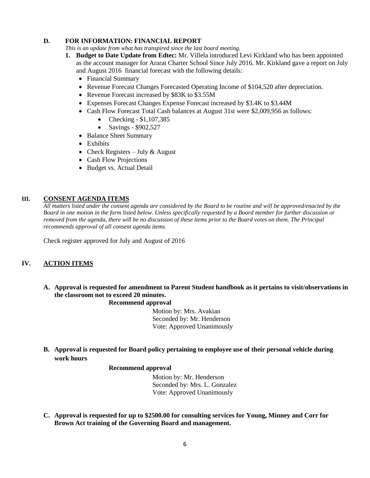#### **D. FOR INFORMATION: FINANCIAL REPORT**

*This is an update from what has transpired since the last board meeting.*

- **1. Budget to Date Update from Edtec:** Mr. Villela introduced Levi Kirkland who has been appointed as the account manager for Ararat Charter School Since July 2016. Mr. Kirkland gave a report on July and August 2016 financial forecast with the following details:
	- Financial Summary
	- Revenue Forecast Changes Forecasted Operating Income of \$104,520 after depreciation.
	- Revenue Forecast increased by \$83K to \$3.55M
	- Expenses Forecast Changes Expense Forecast increased by \$3.4K to \$3.44M
	- Cash Flow Forecast Total Cash balances at August 31st were \$2,009,956 as follows:
		- $\bullet$  Checking \$1,107,385
		- $\bullet$  Savings \$902,527
	- Balance Sheet Summary
	- Exhibits
	- Check Registers July & August
	- Cash Flow Projections
	- Budget vs. Actual Detail

#### **III. CONSENT AGENDA ITEMS**

*All matters listed under the consent agenda are considered by the Board to be routine and will be approved/enacted by the Board in one motion in the form listed below. Unless specifically requested by a Board member for further discussion or removed from the agenda, there will be no discussion of these items prior to the Board votes on them. The Principal recommends approval of all consent agenda items.*

Check register approved for July and August of 2016

#### **IV. ACTION ITEMS**

**A. Approval is requested for amendment to Parent Student handbook as it pertains to visit/observations in the classroom not to exceed 20 minutes. Recommend approval**

> Motion by: Mrs. Avakian Seconded by: Mr. Henderson Vote: Approved Unanimously

**B. Approval is requested for Board policy pertaining to employee use of their personal vehicle during work hours**

#### **Recommend approval**

 Motion by: Mr. Henderson Seconded by: Mrs. L. Gonzalez Vote: Approved Unanimously

**C. Approval is requested for up to \$2500.00 for consulting services for Young, Minney and Corr for Brown Act training of the Governing Board and management.**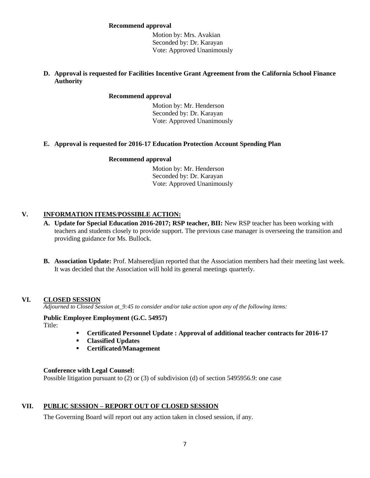#### **Recommend approval**

 Motion by: Mrs. Avakian Seconded by: Dr. Karayan Vote: Approved Unanimously

#### **D. Approval is requested for Facilities Incentive Grant Agreement from the California School Finance Authority**

#### **Recommend approval**

 Motion by: Mr. Henderson Seconded by: Dr. Karayan Vote: Approved Unanimously

#### **E. Approval is requested for 2016-17 Education Protection Account Spending Plan**

#### **Recommend approval**

 Motion by: Mr. Henderson Seconded by: Dr. Karayan Vote: Approved Unanimously

#### **V. INFORMATION ITEMS**/**POSSIBLE ACTION:**

- **A. Update for Special Education 2016-2017; RSP teacher, BII:** New RSP teacher has been working with teachers and students closely to provide support. The previous case manager is overseeing the transition and providing guidance for Ms. Bullock.
- **B. Association Update:** Prof. Mahseredjian reported that the Association members had their meeting last week. It was decided that the Association will hold its general meetings quarterly.

#### **VI. CLOSED SESSION**

*Adjourned to Closed Session at\_9:45 to consider and/or take action upon any of the following items:*

**Public Employee Employment (G.C. 54957)**

Title:

- **Certificated Personnel Update : Approval of additional teacher contracts for 2016-17**
- **Classified Updates**
- **Certificated/Management**

#### **Conference with Legal Counsel:**

Possible litigation pursuant to (2) or (3) of subdivision (d) of section 5495956.9: one case

#### **VII. PUBLIC SESSION – REPORT OUT OF CLOSED SESSION**

The Governing Board will report out any action taken in closed session, if any.